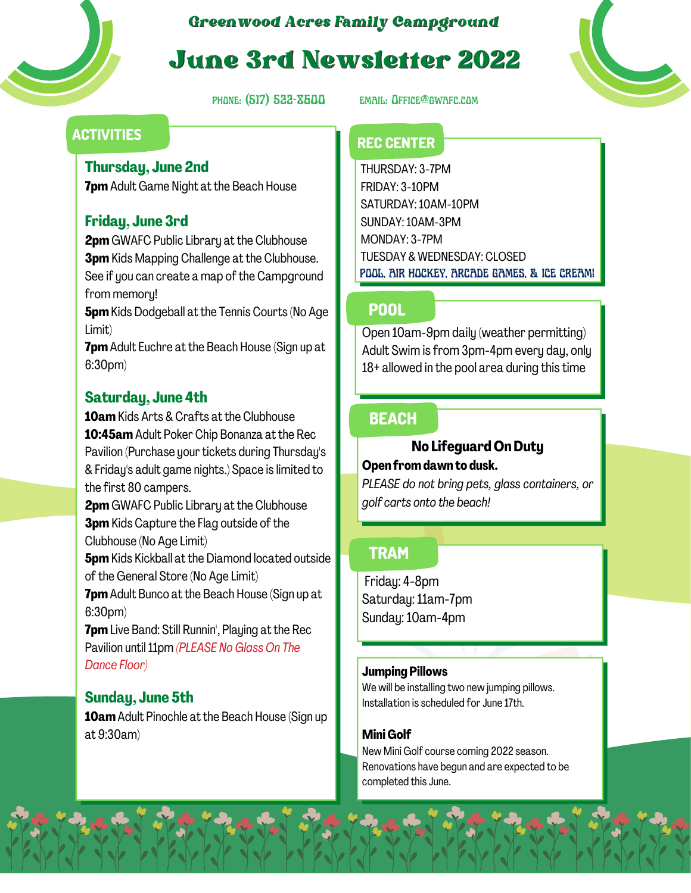

# *Greenwood Acres Family Campground*

# June 3rd Newsletter 2022

phone: (517) 522-8600 email: Office@gwafc.com

# **ACTIVITIES REC CENTER**

### **Thursday, June 2nd**

**7pm** Adult Game Night at the Beach House

# **Friday, June 3rd**

**2pm** GWAFC Public Library at the Clubhouse **3pm** Kids Mapping Challenge at the Clubhouse. See if you can create a map of the Campground from memory!

**5pm**Kids Dodgeball at the Tennis Courts (No Age Limit)

**7pm**Adult Euchre at the Beach House (Sign up at 6:30pm)

# **Saturday, June 4th**

**10am** Kids Arts & Crafts at the Clubhouse **10:45am** Adult Poker Chip Bonanza at the Rec Pavilion (Purchase your tickets during Thursday's & Friday's adult game nights.) Space is limited to the first 80 campers.

**2pm** GWAFC Public Library at the Clubhouse **3pm** Kids Capture the Flag outside of the Clubhouse (No Age Limit)

**5pm** Kids Kickball at the Diamond located outside of the General Store (No Age Limit)

**7pm**Adult Bunco at the Beach House (Sign up at 6:30pm)

**7pm** Live Band: Still Runnin', Playing at the Rec Pavilion until11pm *(PLEASE No Glass On The Dance Floor)*

# **Sunday, June 5th**

**10am**Adult Pinochle at the Beach House (Sign up at 9:30am)

THURSDAY: 3-7PM FRIDAY: 3-10PM SATURDAY:10AM-10PM SUNDAY:10AM-3PM MONDAY: 3-7PM TUESDAY & WEDNESDAY: CLOSED POOL, AIR HOCKEY, ARCADE GAMES, & ICE CREAM!

# **POOL**

Open 10am-9pm daily (weather permitting) Adult Swim is from 3pm-4pm every day, only 18+ allowed in the pool area during this time

# **BEACH**

## **No Lifeguard OnDuty**

#### **Open fromdawn to dusk.**

*PLEASE do not bring pets, glass containers, or golf carts onto the beach!*

# **TRAM**

Friday: 4-8pm Saturday:11am-7pm Sunday:10am-4pm

#### **Jumping Pillows**

We will be installing two new jumping pillows. Installation is scheduled for June 17th.

#### **Mini Golf**

New Mini Golf course coming 2022 season. Renovations have begun and are expected to be completed this June.